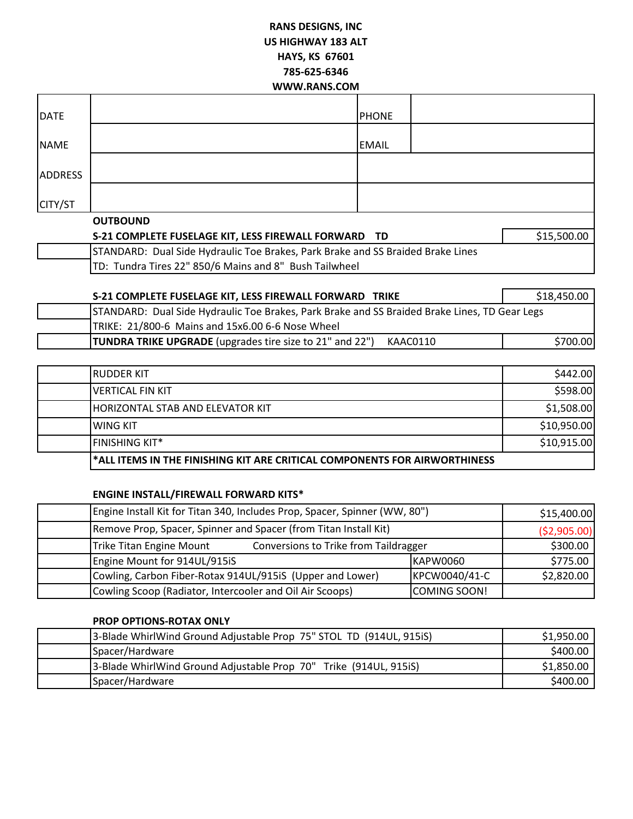# **RANS DESIGNS, INC US HIGHWAY 183 ALT HAYS, KS 67601 785-625-6346 WWW.RANS.COM**

| <b>DATE</b>    |                                                      | <b>PHONE</b> |             |  |
|----------------|------------------------------------------------------|--------------|-------------|--|
| <b>NAME</b>    |                                                      | <b>EMAIL</b> |             |  |
| <b>ADDRESS</b> |                                                      |              |             |  |
| CITY/ST        |                                                      |              |             |  |
|                | <b>OUTBOUND</b>                                      |              |             |  |
|                | S-21 COMPLETE FUSELAGE KIT, LESS FIREWALL FORWARD TD |              | \$15,500.00 |  |

STANDARD: Dual Side Hydraulic Toe Brakes, Park Brake and SS Braided Brake Lines TD: Tundra Tires 22" 850/6 Mains and 8" Bush Tailwheel

| S-21 COMPLETE FUSELAGE KIT, LESS FIREWALL FORWARD TRIKE |                                                                                               | \$18,450.00 |
|---------------------------------------------------------|-----------------------------------------------------------------------------------------------|-------------|
|                                                         | STANDARD: Dual Side Hydraulic Toe Brakes, Park Brake and SS Braided Brake Lines, TD Gear Legs |             |
|                                                         | TRIKE: 21/800-6 Mains and 15x6.00 6-6 Nose Wheel                                              |             |
|                                                         | <b>TUNDRA TRIKE UPGRADE</b> (upgrades tire size to 21" and 22")<br>KAAC0110                   | \$700.00    |

| l*ALL ITEMS IN THE FINISHING KIT ARE CRITICAL COMPONENTS FOR AIRWORTHINESS |             |
|----------------------------------------------------------------------------|-------------|
| <b>FINISHING KIT*</b>                                                      | \$10,915.00 |
| IWING KIT                                                                  | \$10,950.00 |
| <b>HORIZONTAL STAB AND ELEVATOR KIT</b>                                    | \$1,508.00  |
| IVERTICAL FIN KIT                                                          | \$598.00    |
| <b>IRUDDER KIT</b>                                                         | \$442.00    |

### **ENGINE INSTALL/FIREWALL FORWARD KITS\***

| Engine Install Kit for Titan 340, Includes Prop, Spacer, Spinner (WW, 80") |               | \$15,400.00   |
|----------------------------------------------------------------------------|---------------|---------------|
| Remove Prop, Spacer, Spinner and Spacer (from Titan Install Kit)           |               | ( \$2,905.00) |
| Conversions to Trike from Taildragger<br>Trike Titan Engine Mount          |               | \$300.00      |
| Engine Mount for 914UL/915iS                                               | KAPW0060      | \$775.00      |
| Cowling, Carbon Fiber-Rotax 914UL/915iS (Upper and Lower)                  | KPCW0040/41-C | \$2,820.00    |
| Cowling Scoop (Radiator, Intercooler and Oil Air Scoops)                   | COMING SOON!  |               |

### **PROP OPTIONS-ROTAX ONLY**

| 3-Blade WhirlWind Ground Adjustable Prop 75" STOL TD (914UL, 915iS) | \$1,950.00 |
|---------------------------------------------------------------------|------------|
| Spacer/Hardware                                                     | \$400.00   |
| 3-Blade WhirlWind Ground Adjustable Prop 70" Trike (914UL, 915iS)   | \$1,850.00 |
| Spacer/Hardware                                                     | \$400.00   |